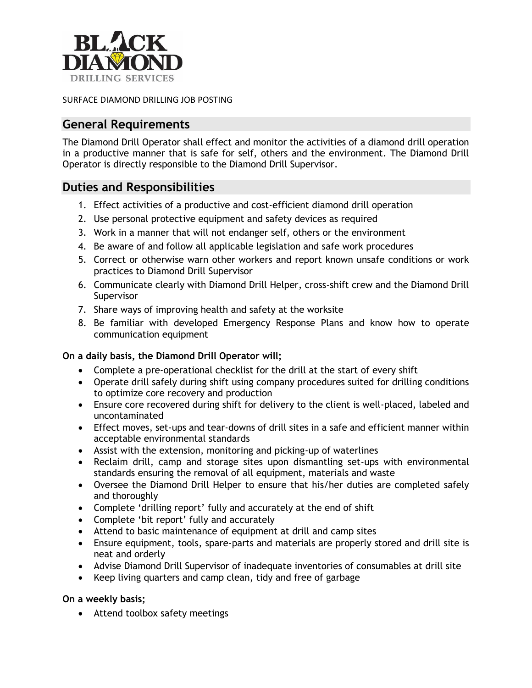

SURFACE DIAMOND DRILLING JOB POSTING

### **General Requirements**

The Diamond Drill Operator shall effect and monitor the activities of a diamond drill operation in a productive manner that is safe for self, others and the environment. The Diamond Drill Operator is directly responsible to the Diamond Drill Supervisor.

# **Duties and Responsibilities**

- 1. Effect activities of a productive and cost-efficient diamond drill operation
- 2. Use personal protective equipment and safety devices as required
- 3. Work in a manner that will not endanger self, others or the environment
- 4. Be aware of and follow all applicable legislation and safe work procedures
- 5. Correct or otherwise warn other workers and report known unsafe conditions or work practices to Diamond Drill Supervisor
- 6. Communicate clearly with Diamond Drill Helper, cross-shift crew and the Diamond Drill Supervisor
- 7. Share ways of improving health and safety at the worksite
- 8. Be familiar with developed Emergency Response Plans and know how to operate communication equipment

### **On a daily basis, the Diamond Drill Operator will;**

- Complete a pre-operational checklist for the drill at the start of every shift
- Operate drill safely during shift using company procedures suited for drilling conditions to optimize core recovery and production
- Ensure core recovered during shift for delivery to the client is well-placed, labeled and uncontaminated
- Effect moves, set-ups and tear-downs of drill sites in a safe and efficient manner within acceptable environmental standards
- Assist with the extension, monitoring and picking-up of waterlines
- Reclaim drill, camp and storage sites upon dismantling set-ups with environmental standards ensuring the removal of all equipment, materials and waste
- Oversee the Diamond Drill Helper to ensure that his/her duties are completed safely and thoroughly
- Complete 'drilling report' fully and accurately at the end of shift
- Complete 'bit report' fully and accurately
- Attend to basic maintenance of equipment at drill and camp sites
- Ensure equipment, tools, spare-parts and materials are properly stored and drill site is neat and orderly
- Advise Diamond Drill Supervisor of inadequate inventories of consumables at drill site
- Keep living quarters and camp clean, tidy and free of garbage

### **On a weekly basis;**

• Attend toolbox safety meetings